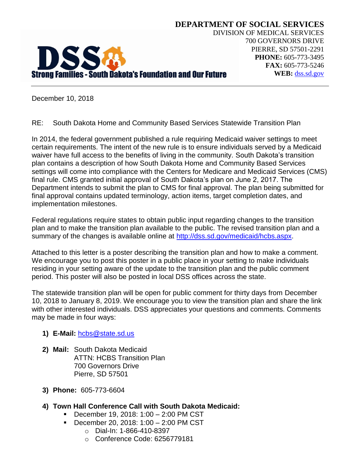

**DEPARTMENT OF SOCIAL SERVICES** DIVISION OF MEDICAL SERVICES 700 GOVERNORS DRIVE PIERRE, SD 57501-2291 **PHONE:** 605-773-3495 **FAX:** 605-773-5246 **WEB:** [dss.sd.gov](http://www.dss.sd.gov/)

December 10, 2018

RE: South Dakota Home and Community Based Services Statewide Transition Plan

In 2014, the federal government published a rule requiring Medicaid waiver settings to meet certain requirements. The intent of the new rule is to ensure individuals served by a Medicaid waiver have full access to the benefits of living in the community. South Dakota's transition plan contains a description of how South Dakota Home and Community Based Services settings will come into compliance with the Centers for Medicare and Medicaid Services (CMS) final rule. CMS granted initial approval of South Dakota's plan on June 2, 2017. The Department intends to submit the plan to CMS for final approval. The plan being submitted for final approval contains updated terminology, action items, target completion dates, and implementation milestones.

Federal regulations require states to obtain public input regarding changes to the transition plan and to make the transition plan available to the public. The revised transition plan and a summary of the changes is available online at [http://dss.sd.gov/medicaid/hcbs.aspx.](http://dss.sd.gov/medicaid/hcbs.aspx)

Attached to this letter is a poster describing the transition plan and how to make a comment. We encourage you to post this poster in a public place in your setting to make individuals residing in your setting aware of the update to the transition plan and the public comment period. This poster will also be posted in local DSS offices across the state.

The statewide transition plan will be open for public comment for thirty days from December 10, 2018 to January 8, 2019. We encourage you to view the transition plan and share the link with other interested individuals. DSS appreciates your questions and comments. Comments may be made in four ways:

- **1) E-Mail:** [hcbs@state.sd.us](mailto:hcbs@state.sd.us)
- **2) Mail:** South Dakota Medicaid ATTN: HCBS Transition Plan 700 Governors Drive Pierre, SD 57501
- **3) Phone:** 605-773-6604
- **4) Town Hall Conference Call with South Dakota Medicaid:**
	- December 19, 2018: 1:00 2:00 PM CST
	- December 20, 2018: 1:00 2:00 PM CST
		- o Dial-In: 1-866-410-8397
		- o Conference Code: 6256779181